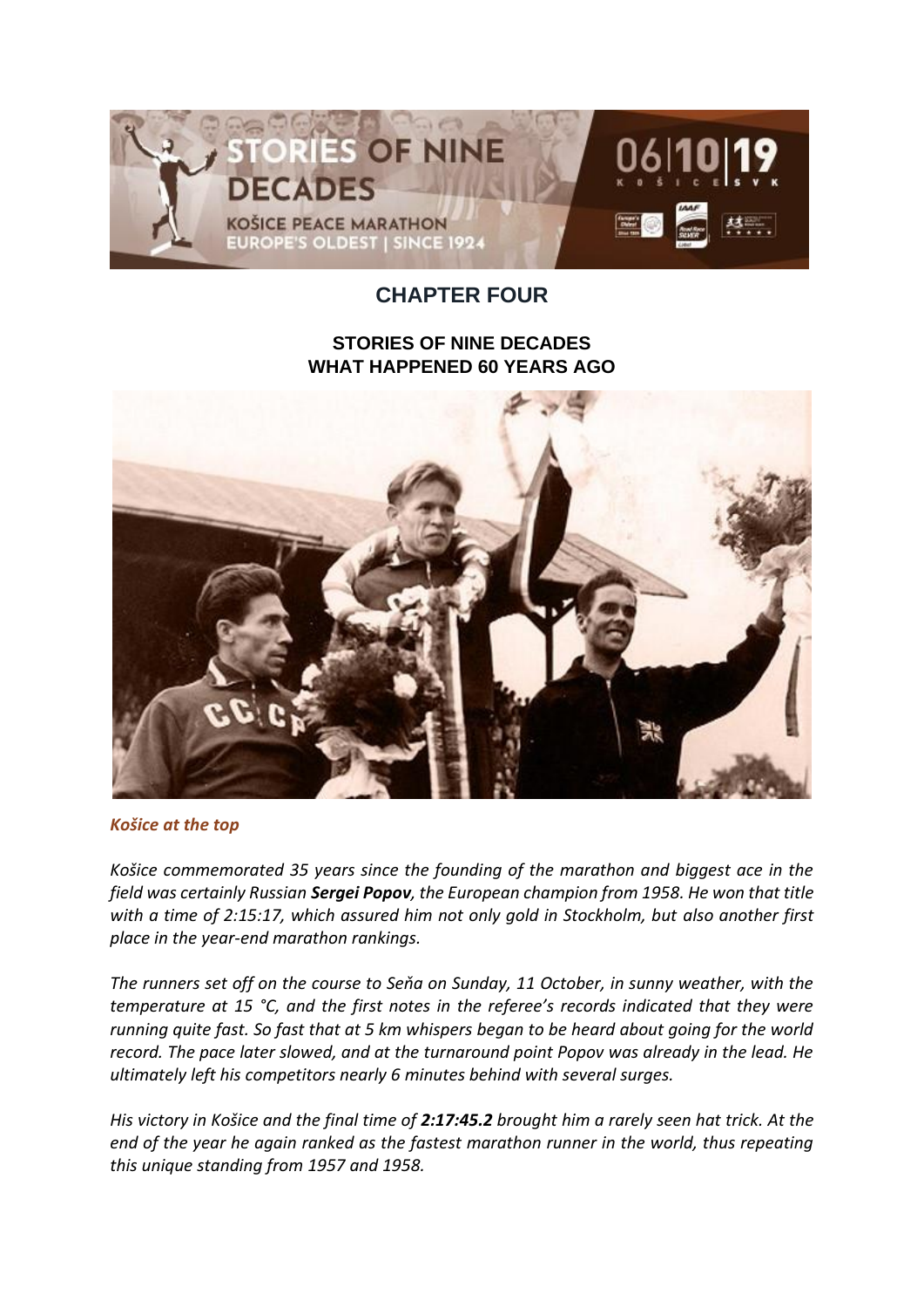

## **CHAPTER FOUR**

## **STORIES OF NINE DECADES WHAT HAPPENED 60 YEARS AGO**



*Košice at the top*

*Košice commemorated 35 years since the founding of the marathon and biggest ace in the field was certainly Russian Sergei Popov, the European champion from 1958. He won that title with a time of 2:15:17, which assured him not only gold in Stockholm, but also another first place in the year-end marathon rankings.*

*The runners set off on the course to Seňa on Sunday, 11 October, in sunny weather, with the temperature at 15 °C, and the first notes in the referee's records indicated that they were running quite fast. So fast that at 5 km whispers began to be heard about going for the world record. The pace later slowed, and at the turnaround point Popov was already in the lead. He ultimately left his competitors nearly 6 minutes behind with several surges.*

*His victory in Košice and the final time of 2:17:45.2 brought him a rarely seen hat trick. At the end of the year he again ranked as the fastest marathon runner in the world, thus repeating this unique standing from 1957 and 1958.*